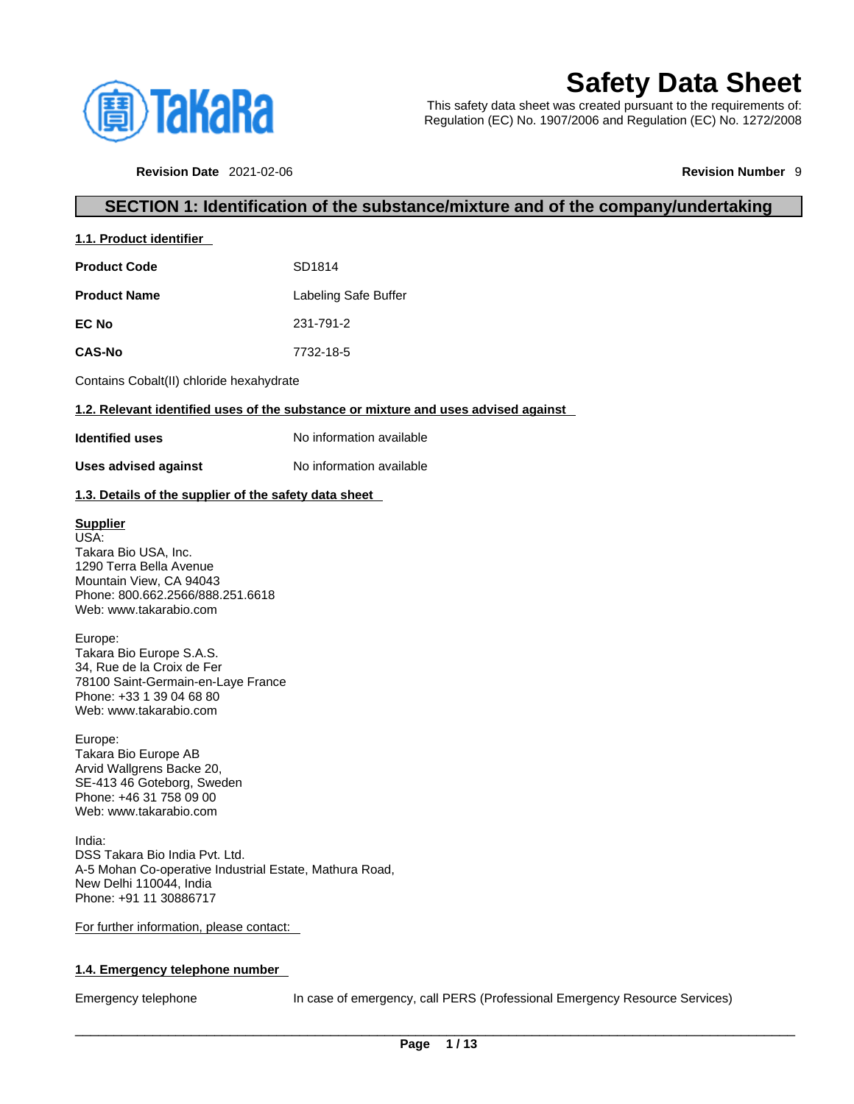

# **Safety Data Sheet**

This safety data sheet was created pursuant to the requirements of: Regulation (EC) No. 1907/2006 and Regulation (EC) No. 1272/2008

**Revision Date** 2021-02-06 **Revision Number** 9

## **SECTION 1: Identification of the substance/mixture and of the company/undertaking**

**1.1. Product identifier** 

**Product Code 5D1814** 

**Product Name** Labeling Safe Buffer

**EC No** 231-791-2

**CAS-No** 7732-18-5

Contains Cobalt(II) chloride hexahydrate

#### **1.2. Relevant identified uses of the substance or mixture and uses advised against**

**Identified uses** No information available

**Uses advised against** No information available

#### **1.3. Details of the supplier of the safety data sheet**

#### **Supplier**

USA: Takara Bio USA, Inc. 1290 Terra Bella Avenue Mountain View, CA 94043 Phone: 800.662.2566/888.251.6618 Web: www.takarabio.com

Europe:

Takara Bio Europe S.A.S. 34, Rue de la Croix de Fer 78100 Saint-Germain-en-Laye France Phone: +33 1 39 04 68 80 Web: www.takarabio.com

Europe: Takara Bio Europe AB Arvid Wallgrens Backe 20, SE-413 46 Goteborg, Sweden Phone: +46 31 758 09 00 Web: www.takarabio.com

India: DSS Takara Bio India Pvt. Ltd. A-5 Mohan Co-operative Industrial Estate, Mathura Road, New Delhi 110044, India Phone: +91 11 30886717

For further information, please contact:

#### **1.4. Emergency telephone number**

Emergency telephone In case of emergency, call PERS (Professional Emergency Resource Services)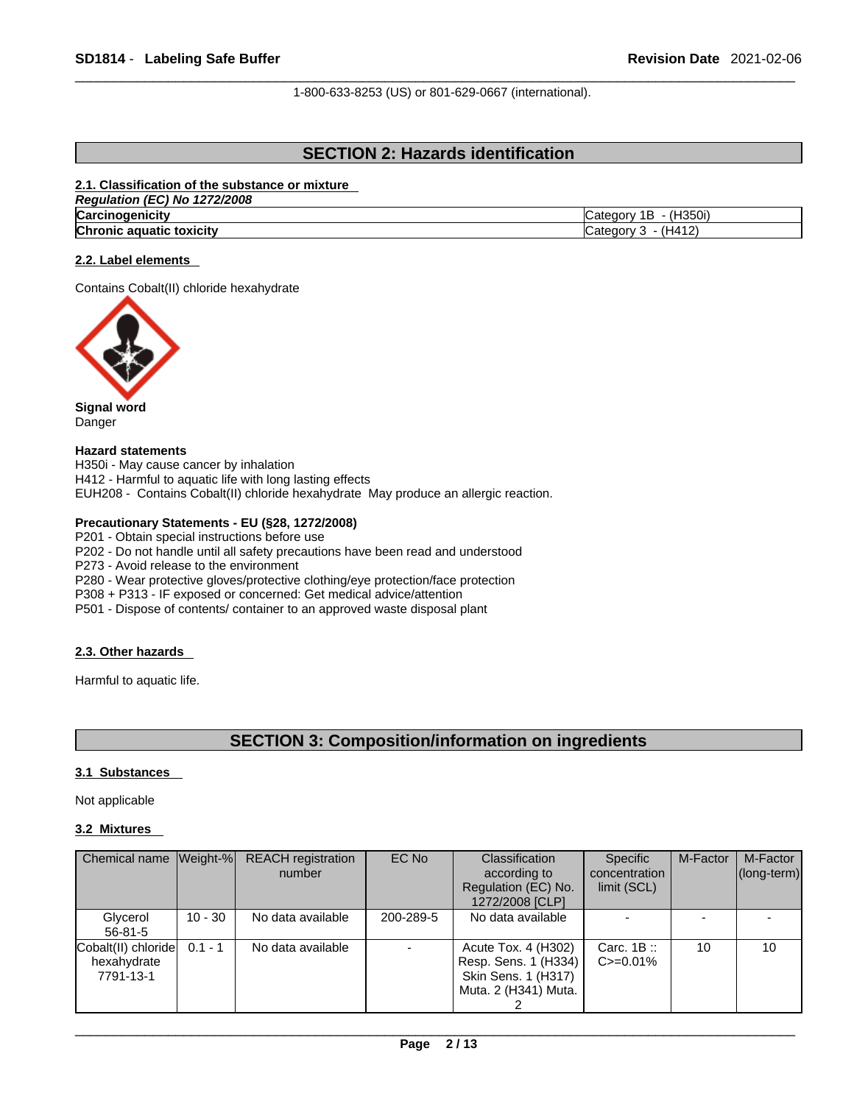1-800-633-8253 (US) or 801-629-0667 (international).

# **SECTION 2: Hazards identification**

#### **2.1. Classification of the substance or mixture**

| (EC) No 1272/2008<br>Regulation |                             |
|---------------------------------|-----------------------------|
| Carcinogenicity                 | - (H350i)<br>1B<br>⊜ategor∨ |
| Chronic aquatic toxicity        | (H412)<br>lCategorv         |

#### **2.2. Label elements**

Contains Cobalt(II) chloride hexahydrate



**Signal word** Danger

#### **Hazard statements**

H350i - May cause cancer by inhalation H412 - Harmful to aquatic life with long lasting effects EUH208 - Contains Cobalt(II) chloride hexahydrate May produce an allergic reaction.

#### **Precautionary Statements - EU (§28, 1272/2008)**

P201 - Obtain special instructions before use P202 - Do not handle until all safety precautions have been read and understood P273 - Avoid release to the environment P280 - Wear protective gloves/protective clothing/eye protection/face protection P308 + P313 - IF exposed or concerned: Get medical advice/attention

P501 - Dispose of contents/ container to an approved waste disposal plant

#### **2.3. Other hazards**

Harmful to aquatic life.

# **SECTION 3: Composition/information on ingredients**

#### **3.1 Substances**

Not applicable

#### **3.2 Mixtures**

| Chemical name Weight-%                          |           | <b>REACH</b> registration<br>number | EC No     | Classification<br>according to<br>Regulation (EC) No.<br>1272/2008 [CLP]                   | Specific<br>concentration<br>limit (SCL) | M-Factor | M-Factor<br>$ $ (long-term) $ $ |
|-------------------------------------------------|-----------|-------------------------------------|-----------|--------------------------------------------------------------------------------------------|------------------------------------------|----------|---------------------------------|
| Glycerol<br>$56 - 81 - 5$                       | $10 - 30$ | No data available                   | 200-289-5 | No data available                                                                          |                                          |          |                                 |
| Cobalt(II) chloride<br>hexahydrate<br>7791-13-1 | $0.1 - 1$ | No data available                   |           | Acute Tox. 4 (H302)<br>Resp. Sens. 1 (H334)<br>Skin Sens. 1 (H317)<br>Muta. 2 (H341) Muta. | Carc. $1B ::$<br>$C = 0.01\%$            | 10       | 10                              |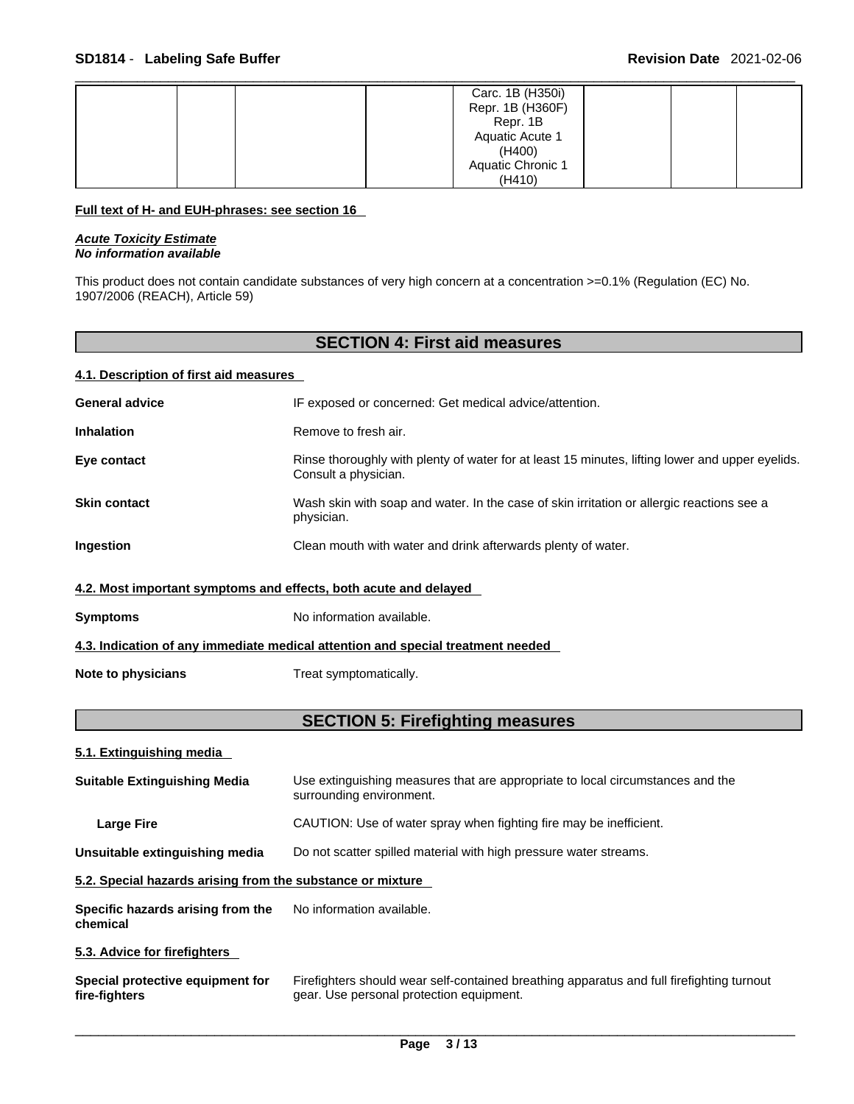|  |  | Carc. 1B (H350i)  |  |  |
|--|--|-------------------|--|--|
|  |  |                   |  |  |
|  |  | Repr. 1B (H360F)  |  |  |
|  |  | Repr. 1B          |  |  |
|  |  | Aquatic Acute 1   |  |  |
|  |  | (H400)            |  |  |
|  |  | Aquatic Chronic 1 |  |  |
|  |  | (H410)            |  |  |

#### **Full text of H- and EUH-phrases: see section 16**

*Acute Toxicity Estimate No information available* 

This product does not contain candidate substances of very high concern at a concentration >=0.1% (Regulation (EC) No. 1907/2006 (REACH), Article 59)

# **SECTION 4: First aid measures**

| 4.1. Description of first aid measures                           |                                                                                                                         |
|------------------------------------------------------------------|-------------------------------------------------------------------------------------------------------------------------|
| <b>General advice</b>                                            | IF exposed or concerned: Get medical advice/attention.                                                                  |
| <b>Inhalation</b>                                                | Remove to fresh air.                                                                                                    |
| Eye contact                                                      | Rinse thoroughly with plenty of water for at least 15 minutes, lifting lower and upper eyelids.<br>Consult a physician. |
| <b>Skin contact</b>                                              | Wash skin with soap and water. In the case of skin irritation or allergic reactions see a<br>physician.                 |
| Ingestion                                                        | Clean mouth with water and drink afterwards plenty of water.                                                            |
| 4.2. Most important symptoms and effects, both acute and delayed |                                                                                                                         |
| <b>Symptoms</b>                                                  | No information available.                                                                                               |
|                                                                  | 4.3. Indication of any immediate medical attention and special treatment needed                                         |
| Note to physicians                                               | Treat symptomatically.                                                                                                  |

# **SECTION 5: Firefighting measures**

#### **5.1. Extinguishing media**

| <b>Suitable Extinguishing Media</b>                        | Use extinguishing measures that are appropriate to local circumstances and the<br>surrounding environment.                            |
|------------------------------------------------------------|---------------------------------------------------------------------------------------------------------------------------------------|
| <b>Large Fire</b>                                          | CAUTION: Use of water spray when fighting fire may be inefficient.                                                                    |
| Unsuitable extinguishing media                             | Do not scatter spilled material with high pressure water streams.                                                                     |
| 5.2. Special hazards arising from the substance or mixture |                                                                                                                                       |
| Specific hazards arising from the<br>chemical              | No information available.                                                                                                             |
| 5.3. Advice for firefighters                               |                                                                                                                                       |
| Special protective equipment for<br>fire-fighters          | Firefighters should wear self-contained breathing apparatus and full firefighting turnout<br>gear. Use personal protection equipment. |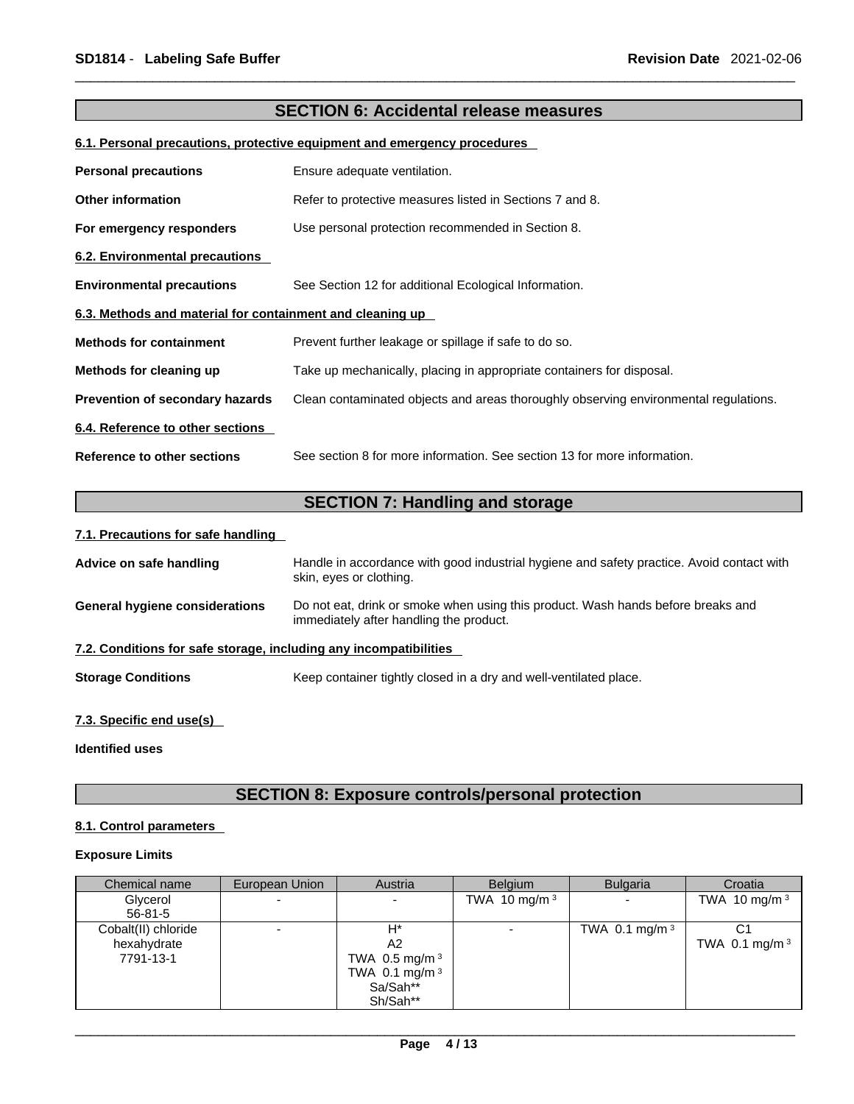### **SECTION 6: Accidental release measures**

#### **6.1. Personal precautions, protective equipment and emergency procedures**

| <b>Personal precautions</b>                               | Ensure adequate ventilation.                                                         |
|-----------------------------------------------------------|--------------------------------------------------------------------------------------|
| <b>Other information</b>                                  | Refer to protective measures listed in Sections 7 and 8.                             |
| For emergency responders                                  | Use personal protection recommended in Section 8.                                    |
| 6.2. Environmental precautions                            |                                                                                      |
| <b>Environmental precautions</b>                          | See Section 12 for additional Ecological Information.                                |
| 6.3. Methods and material for containment and cleaning up |                                                                                      |
| <b>Methods for containment</b>                            | Prevent further leakage or spillage if safe to do so.                                |
| Methods for cleaning up                                   | Take up mechanically, placing in appropriate containers for disposal.                |
| Prevention of secondary hazards                           | Clean contaminated objects and areas thoroughly observing environmental regulations. |
| 6.4. Reference to other sections                          |                                                                                      |
| Reference to other sections                               | See section 8 for more information. See section 13 for more information.             |

# **SECTION 7: Handling and storage**

#### **7.1. Precautions for safe handling**

| Advice on safe handling                                           | Handle in accordance with good industrial hygiene and safety practice. Avoid contact with<br>skin, eyes or clothing.        |
|-------------------------------------------------------------------|-----------------------------------------------------------------------------------------------------------------------------|
| General hygiene considerations                                    | Do not eat, drink or smoke when using this product. Wash hands before breaks and<br>immediately after handling the product. |
| 7.2. Conditions for safe storage, including any incompatibilities |                                                                                                                             |
| <b>Storage Conditions</b>                                         | Keep container tightly closed in a dry and well-ventilated place.                                                           |
|                                                                   |                                                                                                                             |

#### **7.3. Specific end use(s)**

**Identified uses**

# **SECTION 8: Exposure controls/personal protection**

#### **8.1. Control parameters**

#### **Exposure Limits**

| Chemical name                                   | European Union | Austria                                                                              | <b>Belaium</b>  | <b>Bulgaria</b>  | Croatia              |
|-------------------------------------------------|----------------|--------------------------------------------------------------------------------------|-----------------|------------------|----------------------|
| Glycerol<br>$56 - 81 - 5$                       |                |                                                                                      | TWA 10 mg/m $3$ |                  | TWA 10 mg/m $3$      |
| Cobalt(II) chloride<br>hexahydrate<br>7791-13-1 |                | $H^*$<br>A2<br>TWA 0.5 mg/m <sup>3</sup><br>TWA 0.1 mg/m $3$<br>Sa/Sah**<br>Sh/Sah** |                 | TWA 0.1 mg/m $3$ | С1<br>TWA 0.1 mg/m 3 |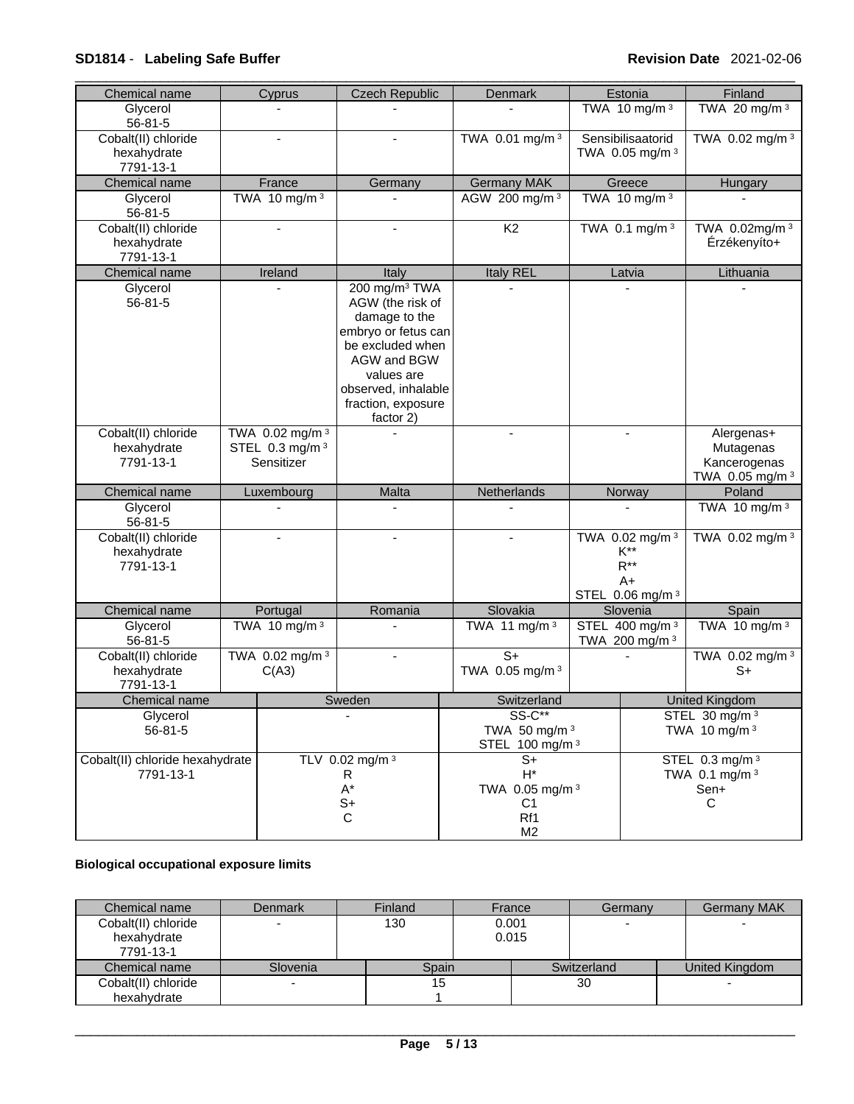# \_\_\_\_\_\_\_\_\_\_\_\_\_\_\_\_\_\_\_\_\_\_\_\_\_\_\_\_\_\_\_\_\_\_\_\_\_\_\_\_\_\_\_\_\_\_\_\_\_\_\_\_\_\_\_\_\_\_\_\_\_\_\_\_\_\_\_\_\_\_\_\_\_\_\_\_\_\_\_\_\_\_\_\_\_\_\_\_\_\_\_\_\_ **SD1814** - **Labeling Safe Buffer Revision Date** 2021-02-06

| Chemical name                                   | Cyprus                                                                 | <b>Czech Republic</b>                                                                                                                                                                            | Denmark                                                                                         | Estonia                                                                        | Finland                                                     |
|-------------------------------------------------|------------------------------------------------------------------------|--------------------------------------------------------------------------------------------------------------------------------------------------------------------------------------------------|-------------------------------------------------------------------------------------------------|--------------------------------------------------------------------------------|-------------------------------------------------------------|
| Glycerol<br>$56 - 81 - 5$                       |                                                                        |                                                                                                                                                                                                  |                                                                                                 | TWA 10 mg/m $3$                                                                | TWA 20 mg/m 3                                               |
| Cobalt(II) chloride<br>hexahydrate<br>7791-13-1 | $\blacksquare$                                                         |                                                                                                                                                                                                  | TWA 0.01 mg/m 3                                                                                 | Sensibilisaatorid<br>TWA 0.05 mg/m 3                                           | TWA 0.02 mg/m 3                                             |
| Chemical name                                   | France                                                                 | Germany                                                                                                                                                                                          | <b>Germany MAK</b><br>Greece                                                                    |                                                                                | Hungary                                                     |
| Glycerol<br>56-81-5                             | TWA 10 mg/m $3$                                                        |                                                                                                                                                                                                  | AGW 200 mg/m 3                                                                                  | TWA 10 mg/m $3$                                                                |                                                             |
| Cobalt(II) chloride<br>hexahydrate<br>7791-13-1 |                                                                        | $\blacksquare$                                                                                                                                                                                   | K <sub>2</sub>                                                                                  | TWA 0.1 mg/m 3                                                                 | TWA 0.02mg/m 3<br>Érzékenyíto+                              |
| Chemical name                                   | Ireland                                                                | Italy                                                                                                                                                                                            | Italy REL                                                                                       | Latvia                                                                         | Lithuania                                                   |
| Glycerol<br>$56 - 81 - 5$                       |                                                                        | 200 mg/m <sup>3</sup> TWA<br>AGW (the risk of<br>damage to the<br>embryo or fetus can<br>be excluded when<br>AGW and BGW<br>values are<br>observed, inhalable<br>fraction, exposure<br>factor 2) |                                                                                                 |                                                                                |                                                             |
| Cobalt(II) chloride<br>hexahydrate<br>7791-13-1 | TWA 0.02 mg/m <sup>3</sup><br>STEL 0.3 mg/m <sup>3</sup><br>Sensitizer |                                                                                                                                                                                                  | $\blacksquare$                                                                                  | $\overline{\phantom{a}}$                                                       | Alergenas+<br>Mutagenas<br>Kancerogenas<br>TWA 0.05 mg/m 3  |
| Chemical name                                   | Luxembourg                                                             | Malta                                                                                                                                                                                            | Netherlands                                                                                     | Norway                                                                         | Poland                                                      |
| Glycerol<br>$56 - 81 - 5$                       |                                                                        |                                                                                                                                                                                                  |                                                                                                 |                                                                                | TWA 10 mg/m <sup>3</sup>                                    |
| Cobalt(II) chloride<br>hexahydrate<br>7791-13-1 |                                                                        | $\overline{a}$                                                                                                                                                                                   |                                                                                                 | TWA 0.02 mg/m <sup>3</sup><br>$K^{**}$<br>$R^{**}$<br>$A+$<br>STEL 0.06 mg/m 3 | TWA 0.02 mg/m <sup>3</sup>                                  |
| Chemical name                                   | Portugal                                                               | Romania                                                                                                                                                                                          | Slovakia                                                                                        | Slovenia                                                                       | Spain                                                       |
| Glycerol<br>56-81-5                             | TWA 10 mg/m $3$                                                        |                                                                                                                                                                                                  | TWA 11 mg/m 3                                                                                   | STEL 400 mg/m 3<br>TWA 200 mg/m <sup>3</sup>                                   | TWA 10 mg/m $3$                                             |
| Cobalt(II) chloride<br>hexahydrate<br>7791-13-1 | TWA 0.02 mg/m <sup>3</sup><br>C(A3)                                    |                                                                                                                                                                                                  | $S+$<br>TWA 0.05 mg/m 3                                                                         |                                                                                | TWA 0.02 mg/m 3<br>$S+$                                     |
| Chemical name                                   |                                                                        | Sweden                                                                                                                                                                                           | Switzerland                                                                                     |                                                                                | <b>United Kingdom</b>                                       |
| Glycerol<br>56-81-5                             |                                                                        |                                                                                                                                                                                                  | $SS-C**$<br>TWA 50 mg/m 3<br>STEL 100 mg/m <sup>3</sup>                                         |                                                                                | STEL 30 mg/m <sup>3</sup><br>TWA 10 mg/m 3                  |
| Cobalt(II) chloride hexahydrate<br>7791-13-1    |                                                                        | TLV 0.02 mg/m <sup>3</sup><br>R<br>$\mathsf{A}^{\star}$<br>$S+$<br>$\mathbf C$                                                                                                                   | $S+$<br>$\mathsf{H}^*$<br>TWA 0.05 mg/m <sup>3</sup><br>C <sub>1</sub><br>Rf1<br>M <sub>2</sub> |                                                                                | STEL $0.3$ mg/m <sup>3</sup><br>TWA 0.1 mg/m 3<br>Sen+<br>С |

# **Biological occupational exposure limits**

| Chemical name                                   | <b>Denmark</b> | Finland | France         |  | Germany     | <b>Germany MAK</b> |
|-------------------------------------------------|----------------|---------|----------------|--|-------------|--------------------|
| Cobalt(II) chloride<br>hexahydrate<br>7791-13-1 |                | 130     | 0.001<br>0.015 |  |             |                    |
| Chemical name                                   | Slovenia       |         | Spain          |  | Switzerland | United Kingdom     |
| Cobalt(II) chloride                             |                | 15      |                |  | 30          |                    |
| hexahvdrate                                     |                |         |                |  |             |                    |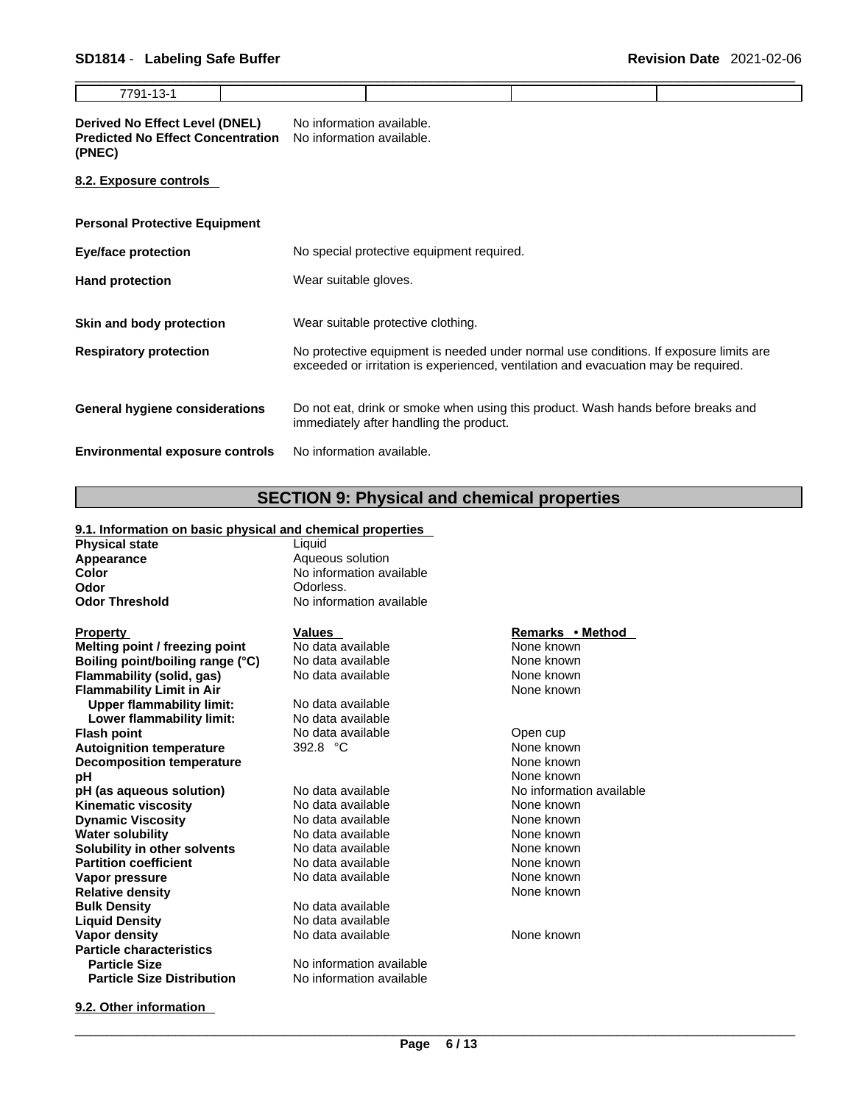| SD1814 - Labeling Safe Buffer |  |  | <b>Revision Date 2021-02-06</b> |
|-------------------------------|--|--|---------------------------------|
| 7791-13-1                     |  |  |                                 |

#### **Derived No Effect Level (DNEL)** No information available. **Predicted No Effect Concentration** No information available. **(PNEC)**

**8.2. Exposure controls** 

| <b>Personal Protective Equipment</b>   |                                                                                                                                                                             |
|----------------------------------------|-----------------------------------------------------------------------------------------------------------------------------------------------------------------------------|
| <b>Eye/face protection</b>             | No special protective equipment required.                                                                                                                                   |
| <b>Hand protection</b>                 | Wear suitable gloves.                                                                                                                                                       |
|                                        |                                                                                                                                                                             |
| Skin and body protection               | Wear suitable protective clothing.                                                                                                                                          |
| <b>Respiratory protection</b>          | No protective equipment is needed under normal use conditions. If exposure limits are<br>exceeded or irritation is experienced, ventilation and evacuation may be required. |
| <b>General hygiene considerations</b>  | Do not eat, drink or smoke when using this product. Wash hands before breaks and<br>immediately after handling the product.                                                 |
| <b>Environmental exposure controls</b> | No information available.                                                                                                                                                   |

# **SECTION 9: Physical and chemical properties**

#### **9.1. Information on basic physical and chemical properties**

| <b>Physical state</b>             | Liquid                   |                          |
|-----------------------------------|--------------------------|--------------------------|
| Appearance                        | Aqueous solution         |                          |
| <b>Color</b>                      | No information available |                          |
| Odor                              | Odorless.                |                          |
| <b>Odor Threshold</b>             | No information available |                          |
| <b>Property</b>                   | <b>Values</b>            | Remarks • Method         |
| Melting point / freezing point    | No data available        | None known               |
| Boiling point/boiling range (°C)  | No data available        | None known               |
| Flammability (solid, gas)         | No data available        | None known               |
| <b>Flammability Limit in Air</b>  |                          | None known               |
| <b>Upper flammability limit:</b>  | No data available        |                          |
| Lower flammability limit:         | No data available        |                          |
| <b>Flash point</b>                | No data available        | Open cup                 |
| <b>Autoignition temperature</b>   | 392.8 °C                 | None known               |
| <b>Decomposition temperature</b>  |                          | None known               |
| рH                                |                          | None known               |
| pH (as aqueous solution)          | No data available        | No information available |
| <b>Kinematic viscosity</b>        | No data available        | None known               |
| <b>Dynamic Viscosity</b>          | No data available        | None known               |
| <b>Water solubility</b>           | No data available        | None known               |
| Solubility in other solvents      | No data available        | None known               |
| <b>Partition coefficient</b>      | No data available        | None known               |
| Vapor pressure                    | No data available        | None known               |
| <b>Relative density</b>           |                          | None known               |
| <b>Bulk Density</b>               | No data available        |                          |
| <b>Liquid Density</b>             | No data available        |                          |
| Vapor density                     | No data available        | None known               |
| <b>Particle characteristics</b>   |                          |                          |
| <b>Particle Size</b>              | No information available |                          |
| <b>Particle Size Distribution</b> | No information available |                          |

**9.2. Other information**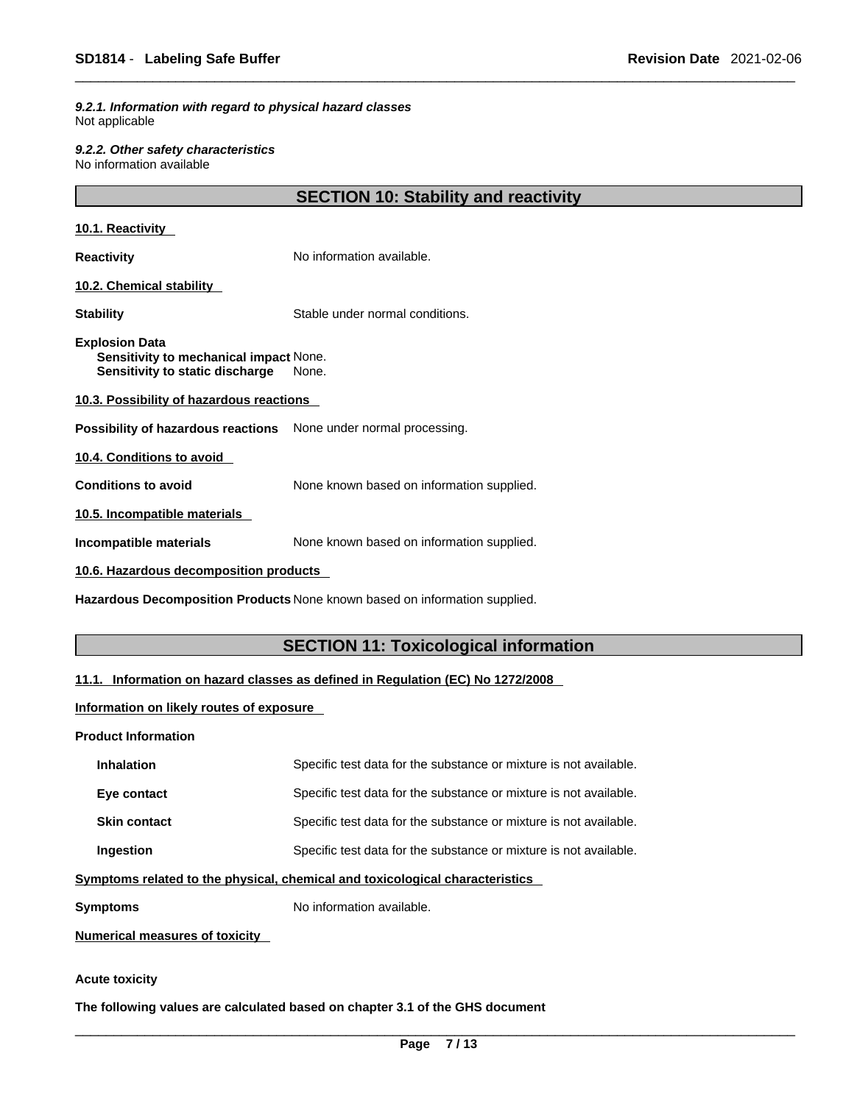*9.2.1. Information with regard to physical hazard classes* Not applicable

*9.2.2. Other safety characteristics* No information available

| <b>SECTION 10: Stability and reactivity</b> |  |  |
|---------------------------------------------|--|--|
|---------------------------------------------|--|--|

| 10.1. Reactivity                                                                            |                                           |  |
|---------------------------------------------------------------------------------------------|-------------------------------------------|--|
| Reactivity                                                                                  | No information available.                 |  |
| 10.2. Chemical stability                                                                    |                                           |  |
| Stability                                                                                   | Stable under normal conditions.           |  |
| Explosion Data<br>Sensitivity to mechanical impact None.<br>Sensitivity to static discharge | None.                                     |  |
| 10.3. Possibility of hazardous reactions                                                    |                                           |  |
| <b>Possibility of hazardous reactions</b> None under normal processing.                     |                                           |  |
| 10.4. Conditions to avoid                                                                   |                                           |  |
| <b>Conditions to avoid</b>                                                                  | None known based on information supplied. |  |
| 10.5. Incompatible materials                                                                |                                           |  |
| Incompatible materials                                                                      | None known based on information supplied. |  |
| 10.6. Hazardous decomposition products                                                      |                                           |  |
| Hazardous Decomposition Products None known based on information supplied.                  |                                           |  |

# **SECTION 11: Toxicological information**

### **11.1. Information on hazard classes as defined in Regulation (EC) No 1272/2008**

#### **Information on likely routes of exposure**

#### **Product Information**

| <b>Inhalation</b>                     | Specific test data for the substance or mixture is not available.            |
|---------------------------------------|------------------------------------------------------------------------------|
| Eye contact                           | Specific test data for the substance or mixture is not available.            |
| <b>Skin contact</b>                   | Specific test data for the substance or mixture is not available.            |
| Ingestion                             | Specific test data for the substance or mixture is not available.            |
|                                       | Symptoms related to the physical, chemical and toxicological characteristics |
| Symptoms                              | No information available.                                                    |
| <b>Numerical measures of toxicity</b> |                                                                              |

#### **Acute toxicity**

**The following values are calculated based on chapter 3.1 of the GHS document**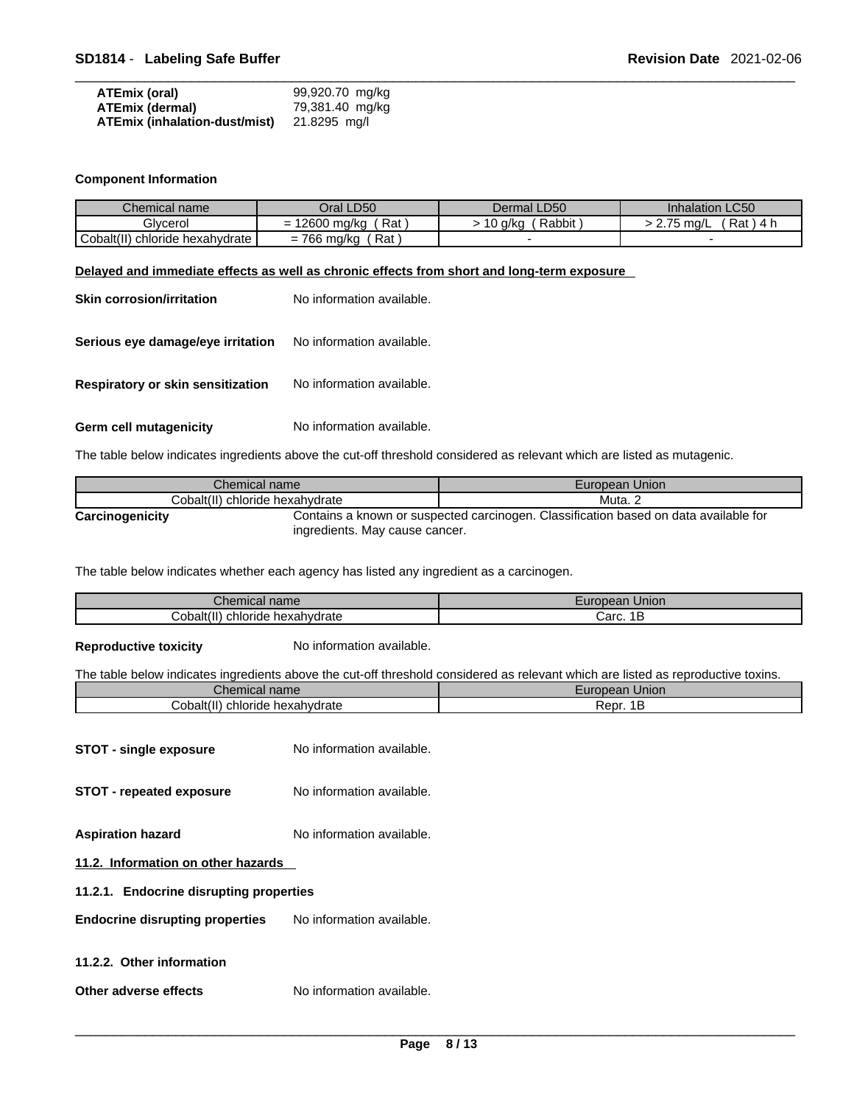| ATEmix (oral)                 | 99,920.70 mg/kg |
|-------------------------------|-----------------|
| ATEmix (dermal)               | 79,381.40 mg/kg |
| ATEmix (inhalation-dust/mist) | 21.8295 mg/l    |

#### **Component Information**

| Chemical name                        | Oral LD50                                   | Dermal LD50         | <b>Inhalation LC50</b> |
|--------------------------------------|---------------------------------------------|---------------------|------------------------|
| Glycerol                             | Rat<br>10000<br>J ma/ka<br>-<br>zouu :<br>- | Rabbit<br>.∪ a/ka ′ | Rat)<br>ma/L           |
| Cobalt(II)<br>) chloride hexahydrate | Rat,<br>766 mg/kg<br>$=$                    |                     |                        |

#### **Delayed and immediate effects as well as chronic effects from short and long-term exposure**

| <b>Skin corrosion/irritation</b>  | No information available. |
|-----------------------------------|---------------------------|
| Serious eye damage/eye irritation | No information available. |
| Respiratory or skin sensitization | No information available. |
|                                   |                           |

**Germ cell mutagenicity** No information available.

The table below indicates ingredients above the cut-off threshold considered as relevant which are listed as mutagenic.

|                 | Chemical name                   | <b>European Union</b>                                                                |
|-----------------|---------------------------------|--------------------------------------------------------------------------------------|
|                 | Cobalt(II) chloride hexahydrate | Muta, 2                                                                              |
| Carcinogenicity |                                 | Contains a known or suspected carcinogen. Classification based on data available for |
|                 | ingredients. May cause cancer.  |                                                                                      |

The table below indicates whether each agency has listed any ingredient as a carcinogen.

| $\sim$ $\sim$ | Union         |
|---------------|---------------|
| Unemical name | vean          |
| hexahydrate   | 'oro          |
| ∶obalt        | الص           |
| chloride      | כוי           |
| ш             | $\sim$ $\sim$ |
| 1711          |               |

**Reproductive toxicity** No information available.

The table below indicates ingredients above the cut-off threshold considered as relevant which are listed as reproductive toxins.

| Chemical name        | European Union |  |
|----------------------|----------------|--|
| Cobalt(II)           | Repr.          |  |
| chloride hexahydrate | D              |  |

- **STOT** single exposure No information available.
- **STOT repeated exposure** No information available.

**Aspiration hazard** No information available.

**11.2. Information on other hazards** 

**11.2.1. Endocrine disrupting properties**

**Endocrine disrupting properties** No information available.

**11.2.2. Other information** 

**Other adverse effects** No information available.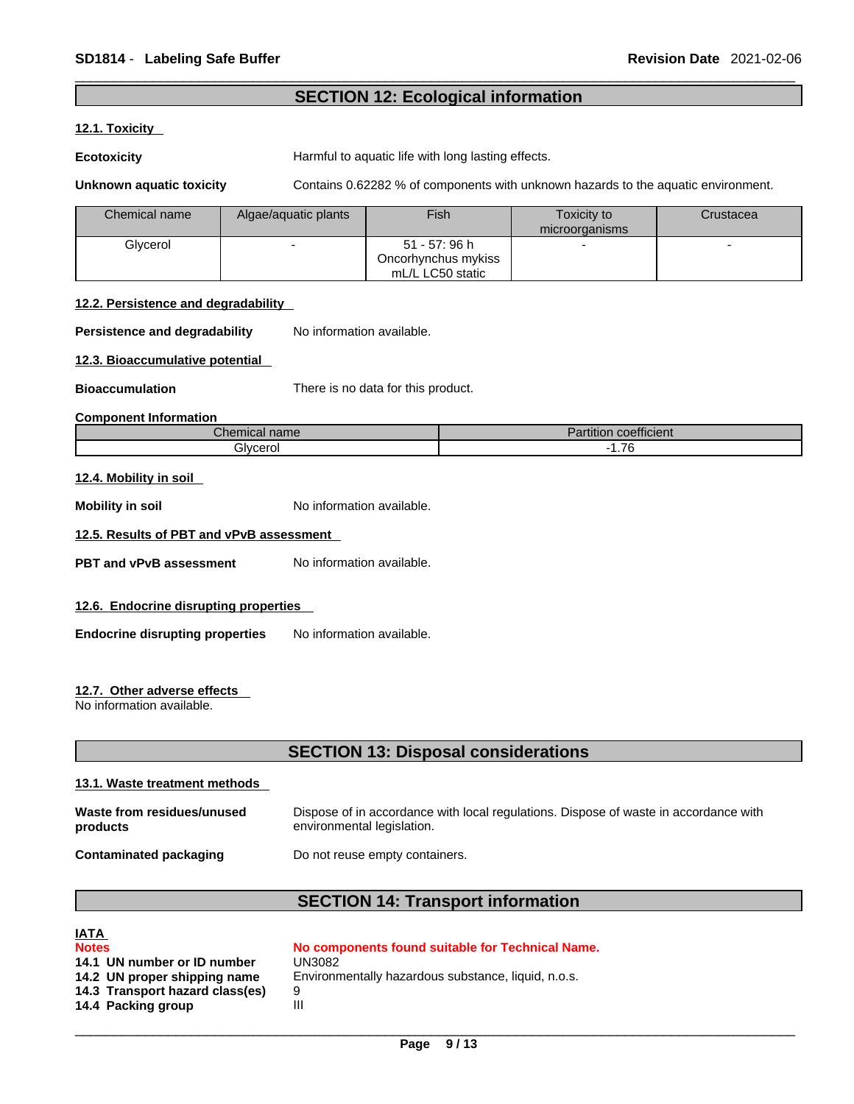### **SECTION 12: Ecological information**

#### **12.1. Toxicity**

**Ecotoxicity Harmful to aquatic life with long lasting effects.** 

**Unknown aquatic toxicity** Contains 0.62282 % of components with unknown hazards to the aquatic environment.

| Chemical name | Algae/aquatic plants | Fish                | Toxicity to<br>microorganisms | Crustacea |
|---------------|----------------------|---------------------|-------------------------------|-----------|
| Glycerol      |                      | 51 - 57: 96 h       |                               |           |
|               |                      | Oncorhynchus mykiss |                               |           |
|               |                      | mL/L LC50 static    |                               |           |

#### **12.2. Persistence and degradability**

**Persistence and degradability** No information available.

**12.3. Bioaccumulative potential**

**Bioaccumulation** There is no data for this product.

**Component Information**

| $\sim$<br><i>Chemical name</i> | $\overline{\phantom{a}}$<br><b>CONTRACTOR</b><br>coefficient<br>artitior |  |
|--------------------------------|--------------------------------------------------------------------------|--|
| Glvcero                        | $\rightarrow$<br><br>.<br>. .                                            |  |

#### **12.4. Mobility in soil**

**Mobility in soil Mobility in soil** No information available.

#### **12.5. Results of PBT and vPvB assessment**

**PBT** and **vPvB** assessment No information available.

#### **12.6. Endocrine disrupting properties**

**Endocrine disrupting properties** No information available.

#### **12.7. Other adverse effects**

No information available.

### **SECTION 13: Disposal considerations**

#### **13.1. Waste treatment methods**

| Waste from residues/unused | Dispose of in accordance with local regulations. Dispose of waste in accordance with |
|----------------------------|--------------------------------------------------------------------------------------|
| products                   | environmental legislation.                                                           |
|                            |                                                                                      |

**Contaminated packaging** Do not reuse empty containers.

# **SECTION 14: Transport information**

# **IATA**

| <b>Notes</b>                    | No components found suitable for Technical Name.    |
|---------------------------------|-----------------------------------------------------|
| 14.1 UN number or ID number     | UN3082                                              |
| 14.2 UN proper shipping name    | Environmentally hazardous substance, liquid, n.o.s. |
| 14.3 Transport hazard class(es) | 9                                                   |
| 14.4 Packing group              | Ш                                                   |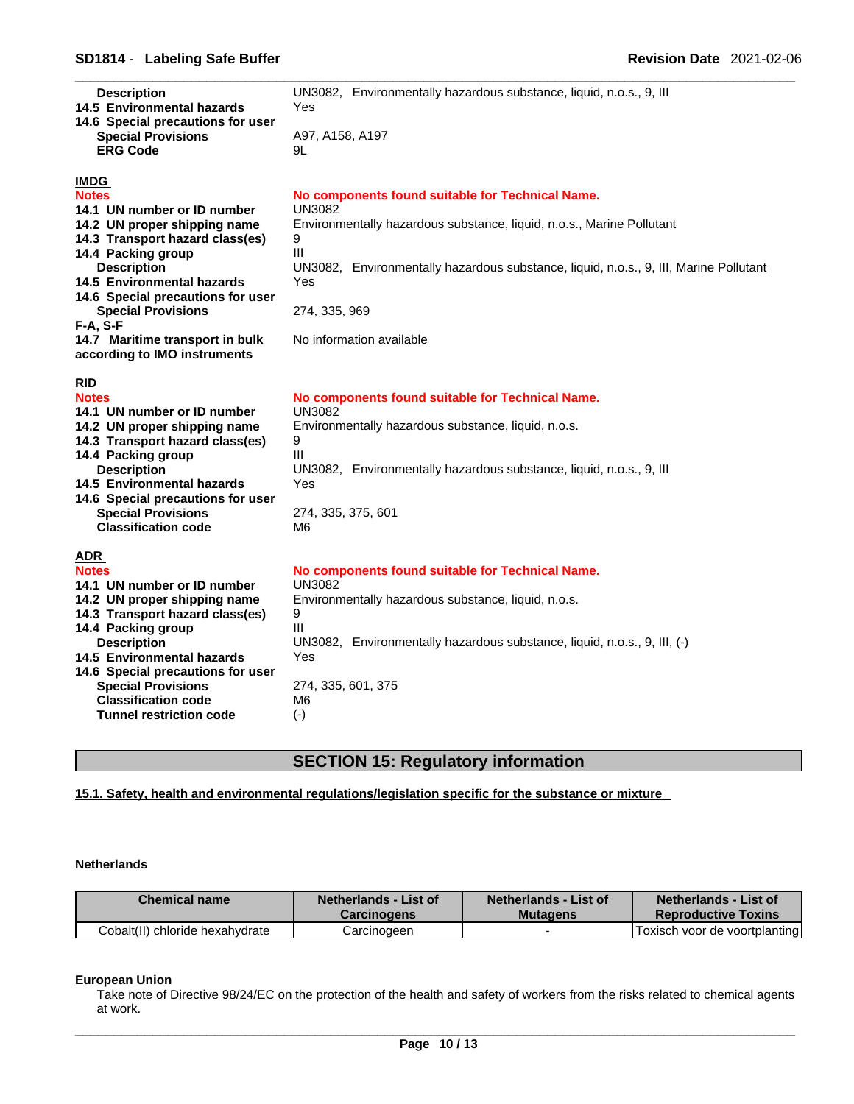| <b>Description</b><br>14.5 Environmental hazards<br>14.6 Special precautions for user<br><b>Special Provisions</b><br><b>ERG Code</b>                                                                                                                                                                                                                    | UN3082, Environmentally hazardous substance, liquid, n.o.s., 9, III<br>Yes<br>A97, A158, A197<br>9L                                                                                                                                                                                                 |
|----------------------------------------------------------------------------------------------------------------------------------------------------------------------------------------------------------------------------------------------------------------------------------------------------------------------------------------------------------|-----------------------------------------------------------------------------------------------------------------------------------------------------------------------------------------------------------------------------------------------------------------------------------------------------|
| <b>IMDG</b><br><b>Notes</b><br>14.1 UN number or ID number<br>14.2 UN proper shipping name<br>14.3 Transport hazard class(es)<br>14.4 Packing group<br><b>Description</b><br>14.5 Environmental hazards<br>14.6 Special precautions for user<br><b>Special Provisions</b><br>F-A, S-F<br>14.7 Maritime transport in bulk<br>according to IMO instruments | No components found suitable for Technical Name.<br><b>UN3082</b><br>Environmentally hazardous substance, liquid, n.o.s., Marine Pollutant<br>9<br>III<br>UN3082, Environmentally hazardous substance, liquid, n.o.s., 9, III, Marine Pollutant<br>Yes<br>274, 335, 969<br>No information available |
| <b>RID</b><br><b>Notes</b><br>14.1 UN number or ID number<br>14.2 UN proper shipping name<br>14.3 Transport hazard class(es)<br>14.4 Packing group<br><b>Description</b><br>14.5 Environmental hazards<br>14.6 Special precautions for user<br><b>Special Provisions</b><br><b>Classification code</b>                                                   | No components found suitable for Technical Name.<br>UN3082<br>Environmentally hazardous substance, liquid, n.o.s.<br>9<br>III<br>UN3082, Environmentally hazardous substance, liquid, n.o.s., 9, III<br>Yes<br>274, 335, 375, 601<br>M6                                                             |
| <b>ADR</b><br><b>Notes</b><br>14.1 UN number or ID number<br>14.2 UN proper shipping name<br>14.3 Transport hazard class(es)<br>14.4 Packing group<br><b>Description</b><br>14.5 Environmental hazards<br>14.6 Special precautions for user<br><b>Special Provisions</b><br><b>Classification code</b><br><b>Tunnel restriction code</b>                 | No components found suitable for Technical Name.<br><b>UN3082</b><br>Environmentally hazardous substance, liquid, n.o.s.<br>9<br>Ш<br>UN3082, Environmentally hazardous substance, liquid, n.o.s., 9, III, (-)<br>Yes<br>274, 335, 601, 375<br>M6<br>$(-)$                                          |

# **SECTION 15: Regulatory information**

**15.1. Safety, health and environmental regulations/legislation specific for the substance or mixture**

#### **Netherlands**

| Chemical name                   | Netherlands - List of | Netherlands - List of | Netherlands - List of                |
|---------------------------------|-----------------------|-----------------------|--------------------------------------|
|                                 | Carcinoɑens           | <b>Mutagens</b>       | <b>Reproductive Toxins</b>           |
| Cobalt(II) chloride hexahydrate | Carcinogeen           |                       | <b>Toxisch voor de voortplanting</b> |

#### **European Union**

Take note of Directive 98/24/EC on the protection of the health and safety of workers from the risks related to chemical agents at work.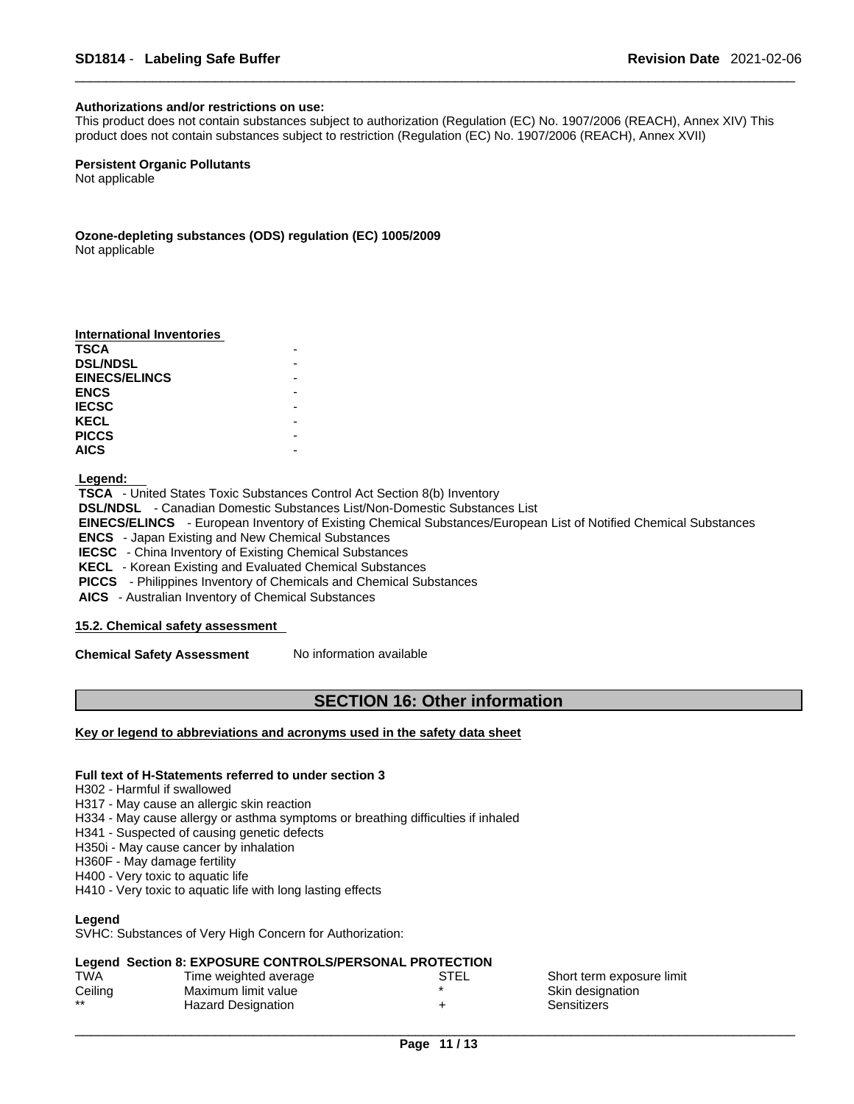#### **Authorizations and/or restrictions on use:**

This product does not contain substances subject to authorization (Regulation (EC) No. 1907/2006 (REACH), Annex XIV) This product does not contain substances subject to restriction (Regulation (EC) No. 1907/2006 (REACH), Annex XVII)

**Persistent Organic Pollutants**

Not applicable

**Ozone-depleting substances (ODS) regulation (EC) 1005/2009** Not applicable

| International Inventories |  |
|---------------------------|--|
| TSCA                      |  |
| <b>DSL/NDSL</b>           |  |
| <b>EINECS/ELINCS</b>      |  |
| ENCS                      |  |
| <b>IECSC</b>              |  |
| KECL                      |  |
| <b>PICCS</b>              |  |
| AICS                      |  |
|                           |  |

 **Legend:** 

 **TSCA** - United States Toxic Substances Control Act Section 8(b) Inventory  **DSL/NDSL** - Canadian Domestic Substances List/Non-Domestic Substances List  **EINECS/ELINCS** - European Inventory of Existing Chemical Substances/European List of Notified Chemical Substances  **ENCS** - Japan Existing and New Chemical Substances  **IECSC** - China Inventory of Existing Chemical Substances  **KECL** - Korean Existing and Evaluated Chemical Substances  **PICCS** - Philippines Inventory of Chemicals and Chemical Substances

 **AICS** - Australian Inventory of Chemical Substances

#### **15.2. Chemical safety assessment**

**Chemical Safety Assessment** No information available

#### **SECTION 16: Other information**

#### **Key or legend to abbreviations and acronyms used in the safety data sheet**

#### **Full text of H-Statements referred to undersection 3**

H302 - Harmful if swallowed

H317 - May cause an allergic skin reaction

H334 - May cause allergy or asthma symptoms or breathing difficulties if inhaled

H341 - Suspected of causing genetic defects

H350i - May cause cancer by inhalation

H360F - May damage fertility

H400 - Very toxic to aquatic life

H410 - Very toxic to aquatic life with long lasting effects

#### **Legend**

SVHC: Substances of Very High Concern for Authorization:

#### **Legend Section 8: EXPOSURE CONTROLS/PERSONAL PROTECTION**

| TWA     | Time weighted average     | STEL |
|---------|---------------------------|------|
| Ceiling | Maximum limit value       |      |
| $**$    | <b>Hazard Designation</b> |      |

Short term exposure limit

Skin designation Sensitizers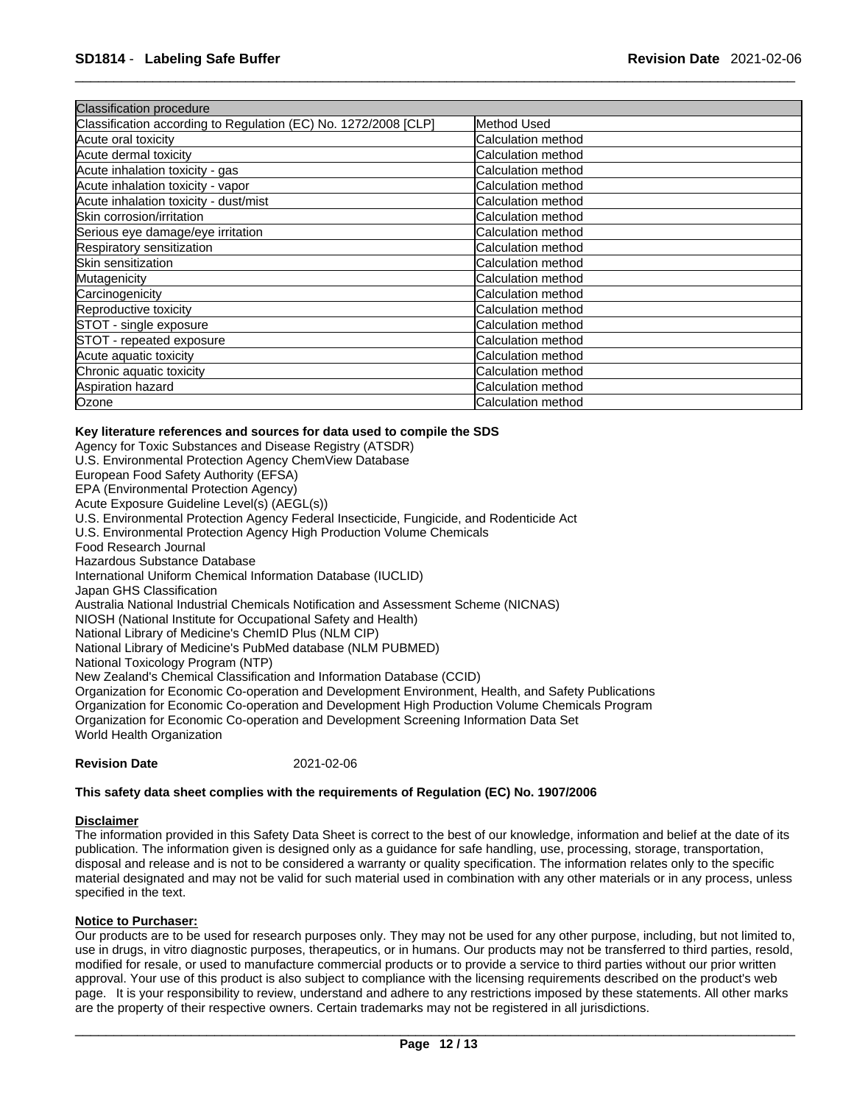| Classification procedure                                        |                            |
|-----------------------------------------------------------------|----------------------------|
| Classification according to Regulation (EC) No. 1272/2008 [CLP] | Method Used                |
| Acute oral toxicity                                             | <b>ICalculation method</b> |
| Acute dermal toxicity                                           | Calculation method         |
| Acute inhalation toxicity - gas                                 | <b>Calculation method</b>  |
| Acute inhalation toxicity - vapor                               | Calculation method         |
| Acute inhalation toxicity - dust/mist                           | Calculation method         |
| Skin corrosion/irritation                                       | Calculation method         |
| Serious eye damage/eye irritation                               | <b>Calculation method</b>  |
| Respiratory sensitization                                       | Calculation method         |
| Skin sensitization                                              | Calculation method         |
| Mutagenicity                                                    | Calculation method         |
| Carcinogenicity                                                 | Calculation method         |
| Reproductive toxicity                                           | Calculation method         |
| STOT - single exposure                                          | <b>Calculation method</b>  |
| STOT - repeated exposure                                        | Calculation method         |
| Acute aquatic toxicity                                          | <b>Calculation method</b>  |
| Chronic aquatic toxicity                                        | Calculation method         |
| Aspiration hazard                                               | Calculation method         |
| Ozone                                                           | <b>Calculation method</b>  |

#### **Key literature references and sources for data used to compile the SDS**

Agency for Toxic Substances and Disease Registry (ATSDR) U.S. Environmental Protection Agency ChemView Database European Food Safety Authority (EFSA) EPA (Environmental Protection Agency) Acute Exposure Guideline Level(s) (AEGL(s)) U.S. Environmental Protection Agency Federal Insecticide, Fungicide, and Rodenticide Act U.S. Environmental Protection Agency High Production Volume Chemicals Food Research Journal Hazardous Substance Database International Uniform Chemical Information Database (IUCLID) Japan GHS Classification Australia National Industrial Chemicals Notification and Assessment Scheme (NICNAS) NIOSH (National Institute for Occupational Safety and Health) National Library of Medicine's ChemID Plus (NLM CIP) National Library of Medicine's PubMed database (NLM PUBMED) National Toxicology Program (NTP) New Zealand's Chemical Classification and Information Database (CCID) Organization for Economic Co-operation and Development Environment, Health, and Safety Publications Organization for Economic Co-operation and Development High Production Volume Chemicals Program Organization for Economic Co-operation and Development Screening Information Data Set World Health Organization

**Revision Date** 2021-02-06

### **This safety data sheet complies with the requirements of Regulation (EC) No. 1907/2006**

#### **Disclaimer**

The information provided in this Safety Data Sheet is correct to the best of our knowledge, information and belief at the date of its publication. The information given is designed only as a guidance for safe handling, use, processing, storage, transportation, disposal and release and is not to be considered a warranty or quality specification. The information relates only to the specific material designated and may not be valid for such material used in combination with any other materials or in any process, unless specified in the text.

#### **Notice to Purchaser:**

Our products are to be used for research purposes only. They may not be used for any other purpose, including, but not limited to, use in drugs, in vitro diagnostic purposes, therapeutics, or in humans. Our products may not be transferred to third parties, resold, modified for resale, or used to manufacture commercial products or to provide a service to third parties without our prior written approval. Your use of this product is also subject to compliance with the licensing requirements described on the product's web page. It is your responsibility to review, understand and adhere to any restrictions imposed by these statements. All other marks are the property of their respective owners. Certain trademarks may not be registered in all jurisdictions.